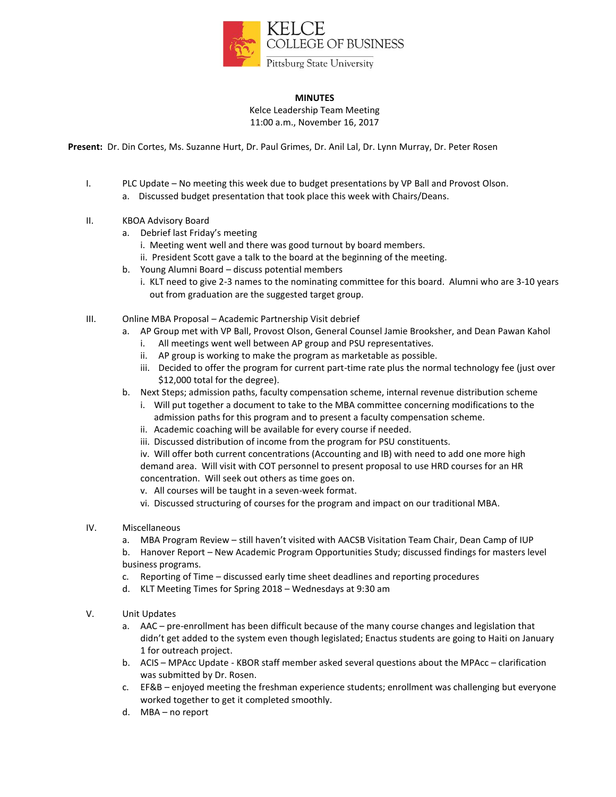

## **MINUTES**

Kelce Leadership Team Meeting 11:00 a.m., November 16, 2017

**Present:** Dr. Din Cortes, Ms. Suzanne Hurt, Dr. Paul Grimes, Dr. Anil Lal, Dr. Lynn Murray, Dr. Peter Rosen

- I. PLC Update No meeting this week due to budget presentations by VP Ball and Provost Olson. a. Discussed budget presentation that took place this week with Chairs/Deans.
- II. KBOA Advisory Board
	- a. Debrief last Friday's meeting
		- i. Meeting went well and there was good turnout by board members.
		- ii. President Scott gave a talk to the board at the beginning of the meeting.
	- b. Young Alumni Board discuss potential members
		- i. KLT need to give 2-3 names to the nominating committee for this board. Alumni who are 3-10 years out from graduation are the suggested target group.
- III. Online MBA Proposal Academic Partnership Visit debrief
	- a. AP Group met with VP Ball, Provost Olson, General Counsel Jamie Brooksher, and Dean Pawan Kahol
		- i. All meetings went well between AP group and PSU representatives.
		- ii. AP group is working to make the program as marketable as possible.
		- iii. Decided to offer the program for current part-time rate plus the normal technology fee (just over \$12,000 total for the degree).
	- b. Next Steps; admission paths, faculty compensation scheme, internal revenue distribution scheme
		- i. Will put together a document to take to the MBA committee concerning modifications to the admission paths for this program and to present a faculty compensation scheme.
		- ii. Academic coaching will be available for every course if needed.
		- iii. Discussed distribution of income from the program for PSU constituents.
		- iv. Will offer both current concentrations (Accounting and IB) with need to add one more high demand area. Will visit with COT personnel to present proposal to use HRD courses for an HR concentration. Will seek out others as time goes on.
		- v. All courses will be taught in a seven-week format.
		- vi. Discussed structuring of courses for the program and impact on our traditional MBA.
- IV. Miscellaneous
	- a. MBA Program Review still haven't visited with AACSB Visitation Team Chair, Dean Camp of IUP

b. Hanover Report – New Academic Program Opportunities Study; discussed findings for masters level business programs.

- c. Reporting of Time discussed early time sheet deadlines and reporting procedures
- d. KLT Meeting Times for Spring 2018 Wednesdays at 9:30 am
- V. Unit Updates
	- a. AAC pre-enrollment has been difficult because of the many course changes and legislation that didn't get added to the system even though legislated; Enactus students are going to Haiti on January 1 for outreach project.
	- b. ACIS MPAcc Update KBOR staff member asked several questions about the MPAcc clarification was submitted by Dr. Rosen.
	- c. EF&B enjoyed meeting the freshman experience students; enrollment was challenging but everyone worked together to get it completed smoothly.
	- d. MBA no report